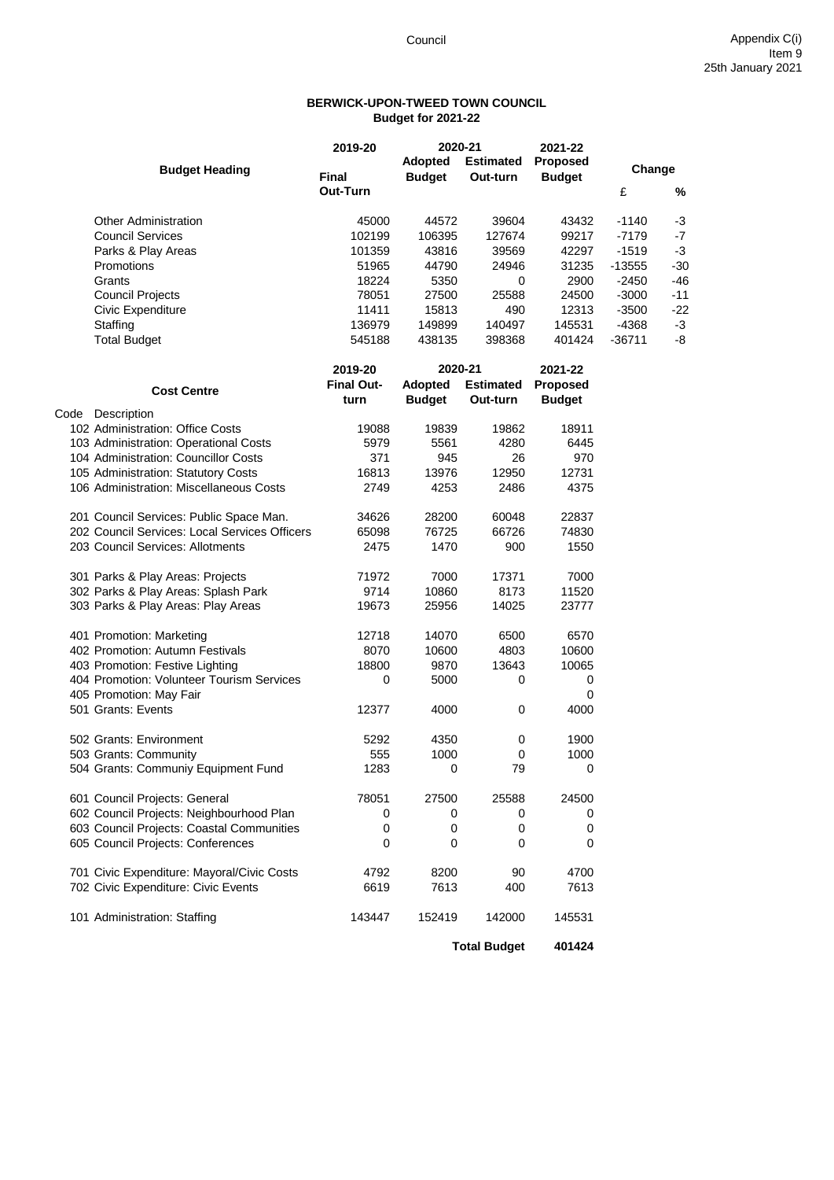## **BERWICK-UPON-TWEED TOWN COUNCIL Budget for 2021-22**

|                                               | 2019-20           | 2020-21<br><b>Adopted</b><br><b>Estimated</b> |                     | 2021-22<br><b>Proposed</b> |          |       |
|-----------------------------------------------|-------------------|-----------------------------------------------|---------------------|----------------------------|----------|-------|
| <b>Budget Heading</b>                         | <b>Final</b>      | <b>Budget</b>                                 | Out-turn            | <b>Budget</b>              | Change   |       |
|                                               | Out-Turn          |                                               |                     |                            | £        | %     |
| <b>Other Administration</b>                   | 45000             | 44572                                         | 39604               | 43432                      | $-1140$  | -3    |
| <b>Council Services</b>                       | 102199            | 106395                                        | 127674              | 99217                      | $-7179$  | -7    |
| Parks & Play Areas                            | 101359            | 43816                                         | 39569               | 42297                      | $-1519$  | -3    |
| Promotions                                    | 51965             | 44790                                         | 24946               | 31235                      | $-13555$ | $-30$ |
| Grants                                        | 18224             | 5350                                          | 0                   | 2900                       | $-2450$  | $-46$ |
| <b>Council Projects</b>                       | 78051             | 27500                                         | 25588               | 24500                      | $-3000$  | $-11$ |
| Civic Expenditure                             | 11411             | 15813                                         | 490                 | 12313                      | $-3500$  | $-22$ |
| Staffing                                      | 136979            | 149899                                        | 140497              | 145531                     | -4368    | $-3$  |
| <b>Total Budget</b>                           | 545188            | 438135                                        | 398368              | 401424                     | $-36711$ | -8    |
|                                               | 2019-20           | 2020-21                                       |                     | 2021-22                    |          |       |
| <b>Cost Centre</b>                            | <b>Final Out-</b> | Adopted                                       | <b>Estimated</b>    | <b>Proposed</b>            |          |       |
|                                               | turn              | <b>Budget</b>                                 | Out-turn            | <b>Budget</b>              |          |       |
| Code Description                              |                   |                                               |                     |                            |          |       |
| 102 Administration: Office Costs              | 19088             | 19839                                         | 19862               | 18911                      |          |       |
| 103 Administration: Operational Costs         | 5979              | 5561                                          | 4280                | 6445                       |          |       |
| 104 Administration: Councillor Costs          | 371               | 945                                           | 26                  | 970                        |          |       |
| 105 Administration: Statutory Costs           | 16813             | 13976                                         | 12950               | 12731                      |          |       |
| 106 Administration: Miscellaneous Costs       | 2749              | 4253                                          | 2486                | 4375                       |          |       |
| 201 Council Services: Public Space Man.       | 34626             | 28200                                         | 60048               | 22837                      |          |       |
| 202 Council Services: Local Services Officers | 65098             | 76725                                         | 66726               | 74830                      |          |       |
| 203 Council Services: Allotments              | 2475              | 1470                                          | 900                 | 1550                       |          |       |
| 301 Parks & Play Areas: Projects              | 71972             | 7000                                          | 17371               | 7000                       |          |       |
| 302 Parks & Play Areas: Splash Park           | 9714              | 10860                                         | 8173                | 11520                      |          |       |
| 303 Parks & Play Areas: Play Areas            | 19673             | 25956                                         | 14025               | 23777                      |          |       |
| 401 Promotion: Marketing                      | 12718             | 14070                                         | 6500                | 6570                       |          |       |
| 402 Promotion: Autumn Festivals               | 8070              | 10600                                         | 4803                | 10600                      |          |       |
| 403 Promotion: Festive Lighting               | 18800             | 9870                                          | 13643               | 10065                      |          |       |
| 404 Promotion: Volunteer Tourism Services     | 0                 | 5000                                          | 0                   | 0                          |          |       |
| 405 Promotion: May Fair                       |                   |                                               |                     | 0                          |          |       |
| 501 Grants: Events                            | 12377             | 4000                                          | 0                   | 4000                       |          |       |
| 502 Grants: Environment                       | 5292              | 4350                                          | 0                   | 1900                       |          |       |
| 503 Grants: Community                         | 555               | 1000                                          | 0                   | 1000                       |          |       |
| 504 Grants: Communiy Equipment Fund           | 1283              | 0                                             | 79                  | 0                          |          |       |
| 601 Council Projects: General                 | 78051             | 27500                                         | 25588               | 24500                      |          |       |
| 602 Council Projects: Neighbourhood Plan      | 0                 | 0                                             | 0                   | 0                          |          |       |
| 603 Council Projects: Coastal Communities     | 0                 | 0                                             | 0                   | $\pmb{0}$                  |          |       |
| 605 Council Projects: Conferences             | 0                 | 0                                             | 0                   | 0                          |          |       |
| 701 Civic Expenditure: Mayoral/Civic Costs    | 4792              | 8200                                          | 90                  | 4700                       |          |       |
| 702 Civic Expenditure: Civic Events           | 6619              | 7613                                          | 400                 | 7613                       |          |       |
| 101 Administration: Staffing                  | 143447            | 152419                                        | 142000              | 145531                     |          |       |
|                                               |                   |                                               | <b>Total Budget</b> | 401424                     |          |       |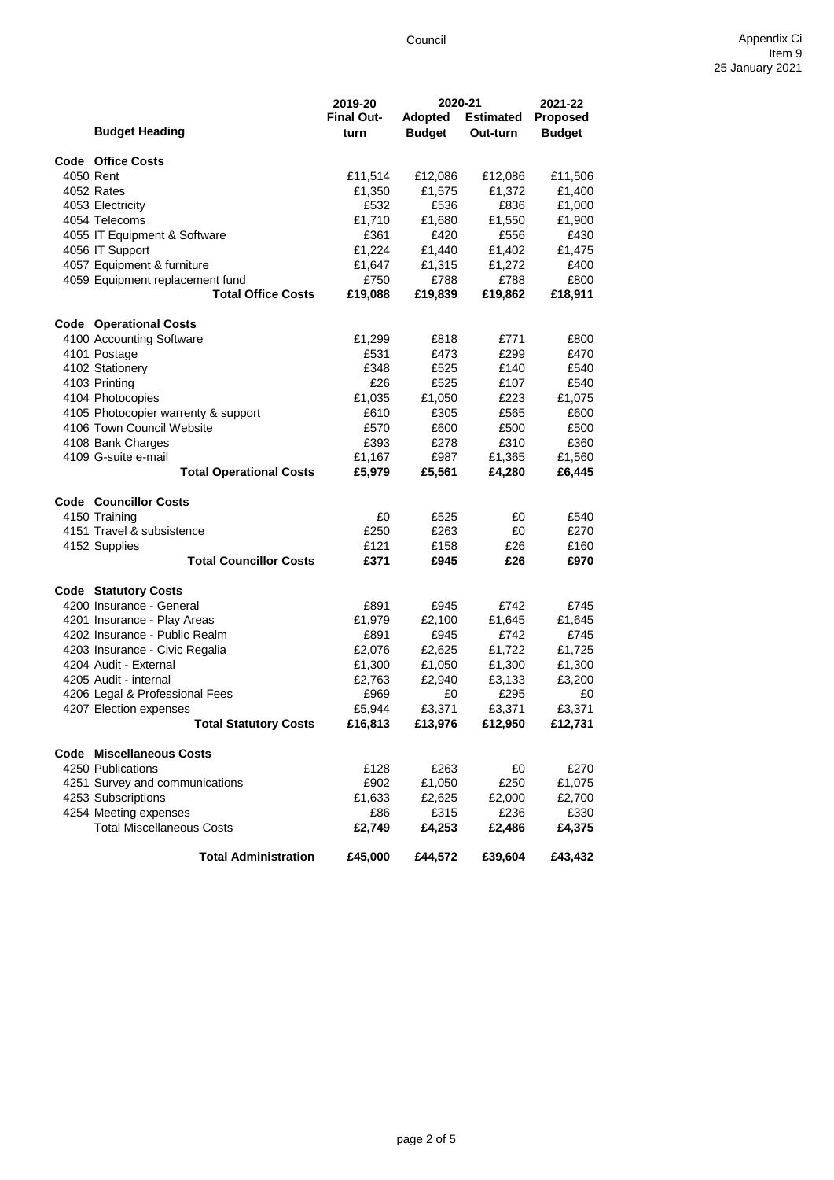|                                     | 2019-20           | 2020-21        |                  | 2021-22       |
|-------------------------------------|-------------------|----------------|------------------|---------------|
|                                     | <b>Final Out-</b> | <b>Adopted</b> | <b>Estimated</b> | Proposed      |
| <b>Budget Heading</b>               | turn              | <b>Budget</b>  | Out-turn         | <b>Budget</b> |
| Code Office Costs                   |                   |                |                  |               |
| 4050 Rent                           | £11,514           | £12,086        | £12,086          | £11,506       |
| 4052 Rates                          | £1,350            | £1,575         | £1,372           | £1,400        |
| 4053 Electricity                    | £532              | £536           | £836             | £1,000        |
| 4054 Telecoms                       | £1,710            | £1,680         | £1,550           | £1,900        |
| 4055 IT Equipment & Software        | £361              | £420           | £556             | £430          |
|                                     | £1,224            |                | £1,402           | £1,475        |
| 4056 IT Support                     |                   | £1,440         |                  |               |
| 4057 Equipment & furniture          | £1,647            | £1,315         | £1,272           | £400          |
| 4059 Equipment replacement fund     | £750              | £788           | £788             | £800          |
| <b>Total Office Costs</b>           | £19,088           | £19,839        | £19,862          | £18,911       |
| <b>Code Operational Costs</b>       |                   |                |                  |               |
| 4100 Accounting Software            | £1,299            | £818           | £771             | £800          |
| 4101 Postage                        | £531              | £473           | £299             | £470          |
| 4102 Stationery                     | £348              | £525           | £140             | £540          |
| 4103 Printing                       | £26               | £525           | £107             | £540          |
| 4104 Photocopies                    | £1,035            | £1,050         | £223             | £1,075        |
| 4105 Photocopier warrenty & support | £610              | £305           | £565             | £600          |
| 4106 Town Council Website           | £570              | £600           | £500             | £500          |
| 4108 Bank Charges                   | £393              | £278           | £310             | £360          |
| 4109 G-suite e-mail                 | £1,167            | £987           | £1,365           | £1,560        |
| <b>Total Operational Costs</b>      | £5,979            | £5,561         | £4,280           | £6,445        |
| <b>Code Councillor Costs</b>        |                   |                |                  |               |
| 4150 Training                       | £0                | £525           | £0               | £540          |
| 4151 Travel & subsistence           | £250              | £263           | £0               | £270          |
| 4152 Supplies                       | £121              | £158           | £26              | £160          |
| <b>Total Councillor Costs</b>       | £371              | £945           | £26              | £970          |
|                                     |                   |                |                  |               |
| <b>Code Statutory Costs</b>         |                   |                |                  |               |
| 4200 Insurance - General            | £891              | £945           | £742             | £745          |
| 4201 Insurance - Play Areas         | £1,979            | £2,100         | £1,645           | £1,645        |
| 4202 Insurance - Public Realm       | £891              | £945           | £742             | £745          |
| 4203 Insurance - Civic Regalia      | £2,076            | £2,625         | £1,722           | £1,725        |
| 4204 Audit - External               | £1,300            | £1,050         | £1,300           | £1,300        |
| 4205 Audit - internal               | £2,763            | £2,940         | £3,133           | £3,200        |
| 4206 Legal & Professional Fees      | £969              | £0             | £295             | £0            |
| 4207 Election expenses              | £5,944            | £3,371         | £3,371           | £3,371        |
| <b>Total Statutory Costs</b>        | £16,813           | £13,976        | £12,950          | £12,731       |
| <b>Code Miscellaneous Costs</b>     |                   |                |                  |               |
| 4250 Publications                   | £128              | £263           | £0               | £270          |
| 4251 Survey and communications      | £902              | £1,050         | £250             | £1,075        |
| 4253 Subscriptions                  | £1,633            | £2,625         | £2,000           | £2,700        |
| 4254 Meeting expenses               | £86               | £315           | £236             | £330          |
| <b>Total Miscellaneous Costs</b>    | £2,749            | £4,253         | £2,486           | £4,375        |
| <b>Total Administration</b>         | £45,000           | £44,572        | £39,604          | £43,432       |
|                                     |                   |                |                  |               |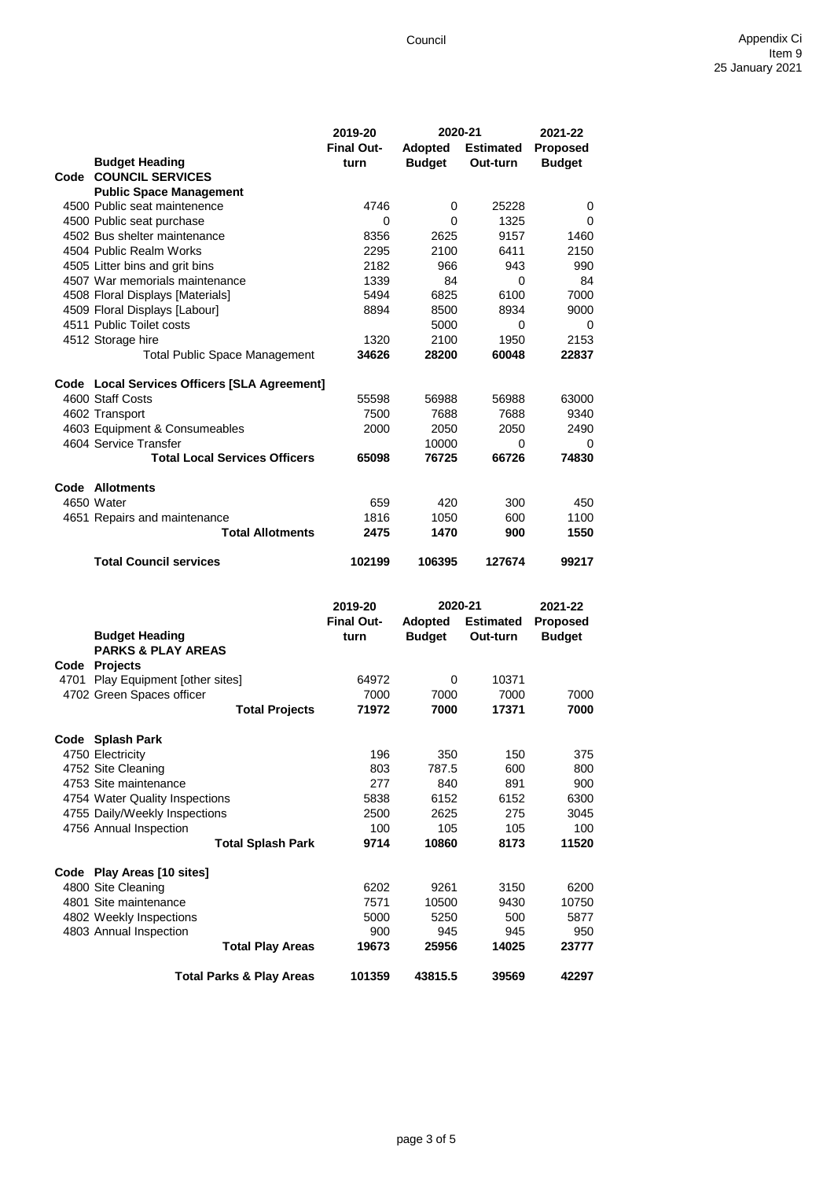|      |                                              | 2019-20           | 2020-21        |                  | 2021-22         |
|------|----------------------------------------------|-------------------|----------------|------------------|-----------------|
|      |                                              | <b>Final Out-</b> | <b>Adopted</b> | <b>Estimated</b> | <b>Proposed</b> |
|      | <b>Budget Heading</b>                        | turn              | <b>Budget</b>  | Out-turn         | <b>Budget</b>   |
|      | Code COUNCIL SERVICES                        |                   |                |                  |                 |
|      | <b>Public Space Management</b>               |                   |                |                  |                 |
|      | 4500 Public seat maintenence                 | 4746              | 0              | 25228            | 0               |
|      | 4500 Public seat purchase                    | 0                 | $\Omega$       | 1325             | 0               |
|      | 4502 Bus shelter maintenance                 | 8356              | 2625           | 9157             | 1460            |
|      | 4504 Public Realm Works                      | 2295              | 2100           | 6411             | 2150            |
|      | 4505 Litter bins and grit bins               | 2182              | 966            | 943              | 990             |
|      | 4507 War memorials maintenance               | 1339              | 84             | $\Omega$         | 84              |
|      | 4508 Floral Displays [Materials]             | 5494              | 6825           | 6100             | 7000            |
|      | 4509 Floral Displays [Labour]                | 8894              | 8500           | 8934             | 9000            |
|      | 4511 Public Toilet costs                     |                   | 5000           | $\Omega$         | 0               |
|      | 4512 Storage hire                            | 1320              | 2100           | 1950             | 2153            |
|      | <b>Total Public Space Management</b>         | 34626             | 28200          | 60048            | 22837           |
|      | Code Local Services Officers [SLA Agreement] |                   |                |                  |                 |
|      | 4600 Staff Costs                             | 55598             | 56988          | 56988            | 63000           |
|      | 4602 Transport                               | 7500              | 7688           | 7688             | 9340            |
|      | 4603 Equipment & Consumeables                | 2000              | 2050           | 2050             | 2490            |
|      | 4604 Service Transfer                        |                   | 10000          | 0                | 0               |
|      | <b>Total Local Services Officers</b>         | 65098             | 76725          | 66726            | 74830           |
|      | Code Allotments                              |                   |                |                  |                 |
|      | 4650 Water                                   | 659               | 420            | 300              | 450             |
|      | 4651 Repairs and maintenance                 | 1816              | 1050           | 600              | 1100            |
|      | <b>Total Allotments</b>                      | 2475              | 1470           | 900              | 1550            |
|      | <b>Total Council services</b>                | 102199            | 106395         | 127674           | 99217           |
|      |                                              | 2019-20           | 2020-21        |                  | 2021-22         |
|      |                                              | <b>Final Out-</b> | Adopted        | <b>Estimated</b> | Proposed        |
|      | <b>Budget Heading</b>                        | turn              | <b>Budget</b>  | Out-turn         | <b>Budget</b>   |
|      | <b>PARKS &amp; PLAY AREAS</b>                |                   |                |                  |                 |
|      | Code Projects                                |                   |                |                  |                 |
| 4701 | Play Equipment [other sites]                 | 64972             | 0              | 10371            |                 |
|      | 4702 Green Spaces officer                    | 7000              | 7000           | 7000             | 7000            |
|      | <b>Total Projects</b>                        | 71972             | 7000           | 17371            | 7000            |

| 4702 Green Spaces officer      |                                     | 7000   | 7000    | 7000  | 7000  |
|--------------------------------|-------------------------------------|--------|---------|-------|-------|
|                                | <b>Total Projects</b>               | 71972  | 7000    | 17371 | 7000  |
| Code Splash Park               |                                     |        |         |       |       |
| 4750 Electricity               |                                     | 196    | 350     | 150   | 375   |
| 4752 Site Cleaning             |                                     | 803    | 787.5   | 600   | 800   |
| 4753 Site maintenance          |                                     | 277    | 840     | 891   | 900   |
| 4754 Water Quality Inspections |                                     | 5838   | 6152    | 6152  | 6300  |
| 4755 Daily/Weekly Inspections  |                                     | 2500   | 2625    | 275   | 3045  |
| 4756 Annual Inspection         |                                     | 100    | 105     | 105   | 100   |
|                                | Total Splash Park                   | 9714   | 10860   | 8173  | 11520 |
| Code Play Areas [10 sites]     |                                     |        |         |       |       |
| 4800 Site Cleaning             |                                     | 6202   | 9261    | 3150  | 6200  |
| 4801 Site maintenance          |                                     | 7571   | 10500   | 9430  | 10750 |
| 4802 Weekly Inspections        |                                     | 5000   | 5250    | 500   | 5877  |
| 4803 Annual Inspection         |                                     | 900    | 945     | 945   | 950   |
|                                | <b>Total Play Areas</b>             | 19673  | 25956   | 14025 | 23777 |
|                                | <b>Total Parks &amp; Play Areas</b> | 101359 | 43815.5 | 39569 | 42297 |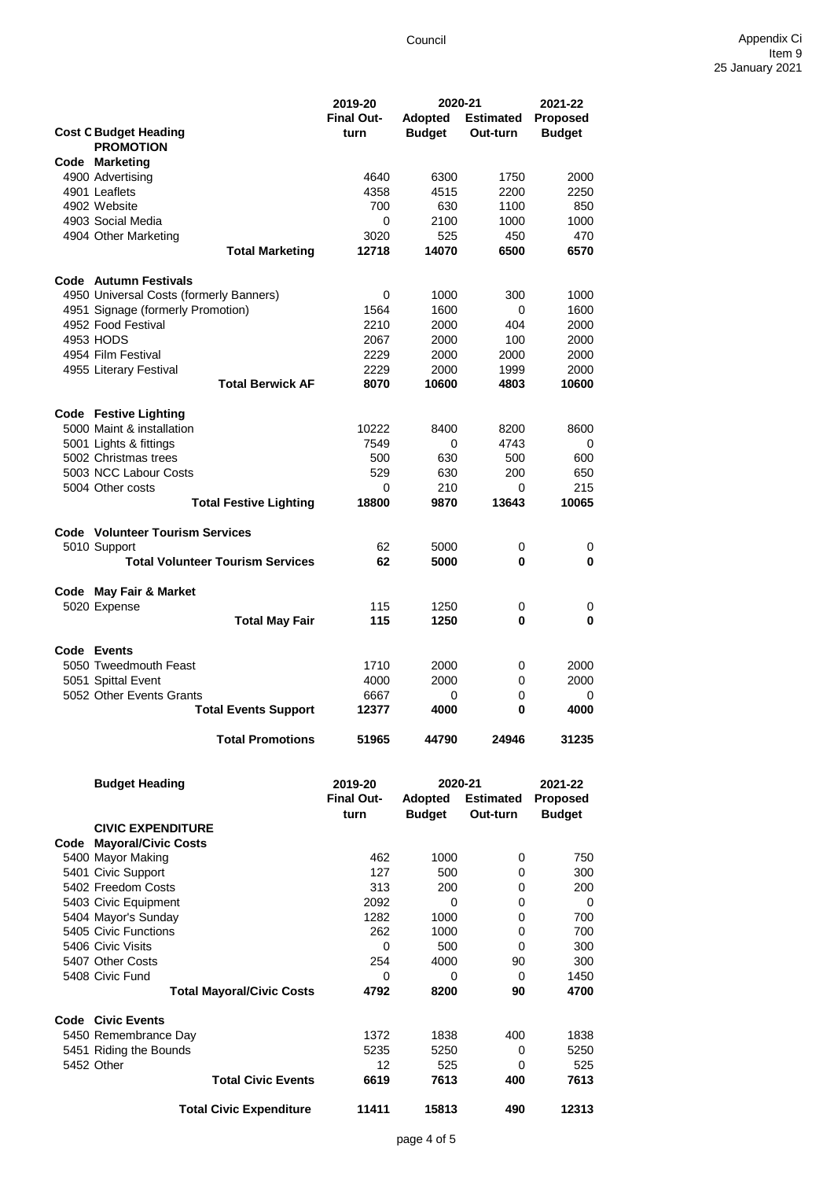|                                                   | 2019-20           | 2020-21        |                  | 2021-22         |
|---------------------------------------------------|-------------------|----------------|------------------|-----------------|
|                                                   | <b>Final Out-</b> | <b>Adopted</b> | <b>Estimated</b> | <b>Proposed</b> |
| <b>Cost C Budget Heading</b>                      | turn              | <b>Budget</b>  | Out-turn         | <b>Budget</b>   |
| <b>PROMOTION</b>                                  |                   |                |                  |                 |
| <b>Code Marketing</b>                             |                   |                |                  |                 |
| 4900 Advertising                                  | 4640              | 6300           | 1750             | 2000            |
| 4901 Leaflets                                     | 4358              | 4515           | 2200             | 2250            |
| 4902 Website                                      | 700               | 630            | 1100             | 850             |
| 4903 Social Media                                 | 0                 | 2100           | 1000             | 1000            |
| 4904 Other Marketing                              | 3020              | 525            | 450              | 470             |
| <b>Total Marketing</b>                            | 12718             | 14070          | 6500             | 6570            |
|                                                   |                   |                |                  |                 |
| Code Autumn Festivals                             |                   |                |                  |                 |
| 4950 Universal Costs (formerly Banners)           | 0                 | 1000           | 300              | 1000            |
| 4951 Signage (formerly Promotion)                 | 1564              | 1600           | 0                | 1600            |
| 4952 Food Festival                                | 2210              | 2000           | 404              | 2000            |
| 4953 HODS                                         | 2067              | 2000           | 100              | 2000            |
| 4954 Film Festival                                | 2229              | 2000<br>2000   | 2000             | 2000<br>2000    |
| 4955 Literary Festival<br><b>Total Berwick AF</b> | 2229<br>8070      | 10600          | 1999<br>4803     | 10600           |
|                                                   |                   |                |                  |                 |
| <b>Code Festive Lighting</b>                      |                   |                |                  |                 |
| 5000 Maint & installation                         | 10222             | 8400           | 8200             | 8600            |
| 5001 Lights & fittings                            | 7549              | 0              | 4743             | 0               |
| 5002 Christmas trees                              | 500               | 630            | 500              | 600             |
| 5003 NCC Labour Costs                             | 529               | 630            | 200              | 650             |
| 5004 Other costs                                  | 0                 | 210            | 0                | 215             |
| <b>Total Festive Lighting</b>                     | 18800             | 9870           | 13643            | 10065           |
|                                                   |                   |                |                  |                 |
| <b>Code</b> Volunteer Tourism Services            |                   |                |                  |                 |
| 5010 Support                                      | 62                | 5000           | 0                | 0               |
| <b>Total Volunteer Tourism Services</b>           | 62                | 5000           | 0                | 0               |
|                                                   |                   |                |                  |                 |
| Code May Fair & Market                            |                   |                |                  |                 |
| 5020 Expense                                      | 115               | 1250           | 0                | 0               |
| <b>Total May Fair</b>                             | 115               | 1250           | 0                | 0               |
|                                                   |                   |                |                  |                 |
| Code Events                                       |                   |                |                  |                 |
| 5050 Tweedmouth Feast                             | 1710              | 2000           | 0                | 2000            |
| 5051 Spittal Event                                | 4000              | 2000           | 0                | 2000            |
| 5052 Other Events Grants                          | 6667              | 0              | 0                | 0               |
| <b>Total Events Support</b>                       | 12377             | 4000           | 0                | 4000            |
| <b>Total Promotions</b>                           | 51965             | 44790          | 24946            | 31235           |
|                                                   |                   |                |                  |                 |
| <b>Budget Heading</b>                             | 2019-20           | 2020-21        |                  | 2021-22         |
|                                                   | <b>Final Out-</b> | Adopted        | <b>Estimated</b> | Proposed        |
|                                                   | turn              | <b>Budget</b>  | Out-turn         | <b>Budget</b>   |
| <b>CIVIC EXPENDITURE</b>                          |                   |                |                  |                 |
| <b>Code Mayoral/Civic Costs</b>                   |                   |                |                  |                 |
| 5400 Mayor Making                                 | 462               | 1000           | 0                | 750             |
| 5401 Civic Support                                | 127               | 500            | 0                | 300             |
| 5402 Freedom Costs                                | 313               | 200            | 0                | 200             |

5403 Civic Equipment 2092 0 0 0 5404 Mayor's Sunday 1282 1000 0 700 5405 Civic Functions 262 1000 0 700 5406 Civic Visits **6406** Civic Visits **6407** Other Costs **6407** Other Costs **6407** Other Costs **6407** Other Costs **6407** Other Costs **6407** Other Costs **6407** Other Costs **6407** Other Costs **6407** Other Costs **6407** Other 5407 Other Costs 254 4000 90 300 5408 Civic Fund<br>
Total Mayoral/Civic Costs
14792
8200
90
4700
5400
50
5400
50
5400
50
5400
50
5400
50
5400
50
5400
50
5400
50
5400
50
5400
50
5400
50
5400
5400
569
50
5400
5400
5400
5400
5400
5400
569
50
5400
5400
5400
540

| <b>Code Civic Events</b> |                           |      |      |     |      |
|--------------------------|---------------------------|------|------|-----|------|
| 5450 Remembrance Day     |                           | 1372 | 1838 | 400 | 1838 |
| 5451 Riding the Bounds   |                           | 5235 | 5250 |     | 5250 |
| 5452 Other               |                           | 12   | 525  |     | 525  |
|                          | <b>Total Civic Events</b> | 6619 | 7613 | 400 | 7613 |

**Total Mayoral/Civic Costs 4792 8200 90 4700**